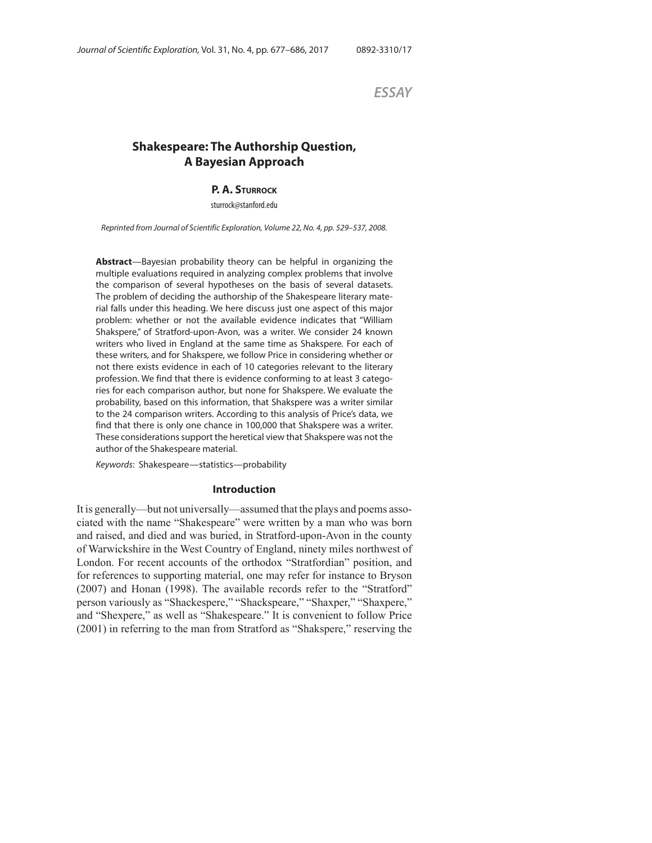*ESSAY*

# **Shakespeare: The Authorship Question, A Bayesian Approach**

### **P. A. STURROCK**

sturrock@stanford.edu

Reprinted from Journal of Scientific Exploration, Volume 22, No. 4, pp. 529–537, 2008.

**Abstract**—Bayesian probability theory can be helpful in organizing the multiple evaluations required in analyzing complex problems that involve the comparison of several hypotheses on the basis of several datasets. The problem of deciding the authorship of the Shakespeare literary material falls under this heading. We here discuss just one aspect of this major problem: whether or not the available evidence indicates that "William Shakspere," of Stratford-upon-Avon, was a writer. We consider 24 known writers who lived in England at the same time as Shakspere. For each of these writers, and for Shakspere, we follow Price in considering whether or not there exists evidence in each of 10 categories relevant to the literary profession. We find that there is evidence conforming to at least 3 categories for each comparison author, but none for Shakspere. We evaluate the probability, based on this information, that Shakspere was a writer similar to the 24 comparison writers. According to this analysis of Price's data, we find that there is only one chance in 100,000 that Shakspere was a writer. These considerations support the heretical view that Shakspere was not the author of the Shakespeare material.

Keywords: Shakespeare—statistics—probability

#### **Introduction**

It is generally—but not universally—assumed that the plays and poems associated with the name "Shakespeare" were written by a man who was born and raised, and died and was buried, in Stratford-upon-Avon in the county of Warwickshire in the West Country of England, ninety miles northwest of London. For recent accounts of the orthodox "Stratfordian" position, and for references to supporting material, one may refer for instance to Bryson (2007) and Honan (1998). The available records refer to the "Stratford" person variously as "Shackespere," "Shackspeare," "Shaxper," "Shaxpere," and "Shexpere," as well as "Shakespeare." It is convenient to follow Price (2001) in referring to the man from Stratford as "Shakspere," reserving the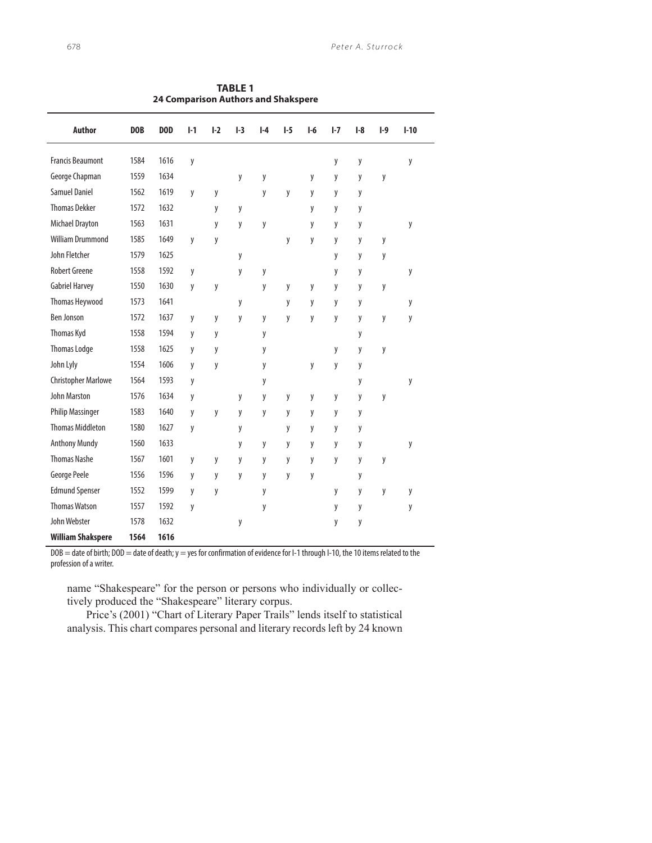| <b>Author</b>              | DOB  | DOD  | $1-1$ | $1-2$ | $I-3$ | $I-4$ | $1-5$ | $I-6$ | $I - 7$ | $I-8$ | $1-9$ | $I-10$ |
|----------------------------|------|------|-------|-------|-------|-------|-------|-------|---------|-------|-------|--------|
| <b>Francis Beaumont</b>    | 1584 | 1616 | y     |       |       |       |       |       | y       | y     |       | y      |
| George Chapman             | 1559 | 1634 |       |       | y     | y     |       | y     | y       | y     | y     |        |
| <b>Samuel Daniel</b>       | 1562 | 1619 | y     | y     |       | y     | y     | y     | y       | y     |       |        |
| <b>Thomas Dekker</b>       | 1572 | 1632 |       | y     | y     |       |       | y     | y       | y     |       |        |
| <b>Michael Drayton</b>     | 1563 | 1631 |       | у     | y     | y     |       | у     | у       | y     |       | у      |
| <b>William Drummond</b>    | 1585 | 1649 | y     | y     |       |       | y     | y     | y       | y     | y     |        |
| John Fletcher              | 1579 | 1625 |       |       | y     |       |       |       | y       | y     | у     |        |
| <b>Robert Greene</b>       | 1558 | 1592 | y     |       | y     | y     |       |       | y       | y     |       | y      |
| <b>Gabriel Harvey</b>      | 1550 | 1630 | y     | y     |       | y     | y     | y     | y       | y     | y     |        |
| Thomas Heywood             | 1573 | 1641 |       |       | y     |       | y     | y     | y       | y     |       | y      |
| <b>Ben Jonson</b>          | 1572 | 1637 | y     | y     | y     | y     | y     | y     | y       | y     | y     | y      |
| Thomas Kyd                 | 1558 | 1594 | y     | y     |       | y     |       |       |         | y     |       |        |
| <b>Thomas Lodge</b>        | 1558 | 1625 | y     | y     |       | y     |       |       | y       | y     | у     |        |
| John Lyly                  | 1554 | 1606 | y     | y     |       | y     |       | y     | y       | y     |       |        |
| <b>Christopher Marlowe</b> | 1564 | 1593 | y     |       |       | y     |       |       |         | y     |       | y      |
| <b>John Marston</b>        | 1576 | 1634 | y     |       | y     | y     | y     | y     | y       | y     | y     |        |
| <b>Philip Massinger</b>    | 1583 | 1640 | y     | y     | y     | y     | y     | y     | y       | y     |       |        |
| <b>Thomas Middleton</b>    | 1580 | 1627 | у     |       | у     |       | у     | y     | у       | y     |       |        |
| <b>Anthony Mundy</b>       | 1560 | 1633 |       |       | y     | y     | y     | y     | y       | y     |       | y      |
| <b>Thomas Nashe</b>        | 1567 | 1601 | y     | y     | y     | y     | y     | y     | y       | y     | y     |        |
| George Peele               | 1556 | 1596 | у     | y     | y     | y     | у     | y     |         | y     |       |        |
| <b>Edmund Spenser</b>      | 1552 | 1599 | y     | y     |       | y     |       |       | y       | y     | y     | y      |
| <b>Thomas Watson</b>       | 1557 | 1592 | y     |       |       | y     |       |       | y       | y     |       | у      |
| John Webster               | 1578 | 1632 |       |       | y     |       |       |       | y       | у     |       |        |
| <b>William Shakspere</b>   | 1564 | 1616 |       |       |       |       |       |       |         |       |       |        |

**TABLE 1 24 Comparison Authors and Shakspere**

DOB = date of birth; DOD = date of death; y = yes for confirmation of evidence for I-1 through I-10, the 10 items related to the profession of a writer.

name "Shakespeare" for the person or persons who individually or collectively produced the "Shakespeare" literary corpus.

Price's (2001) "Chart of Literary Paper Trails" lends itself to statistical analysis. This chart compares personal and literary records left by 24 known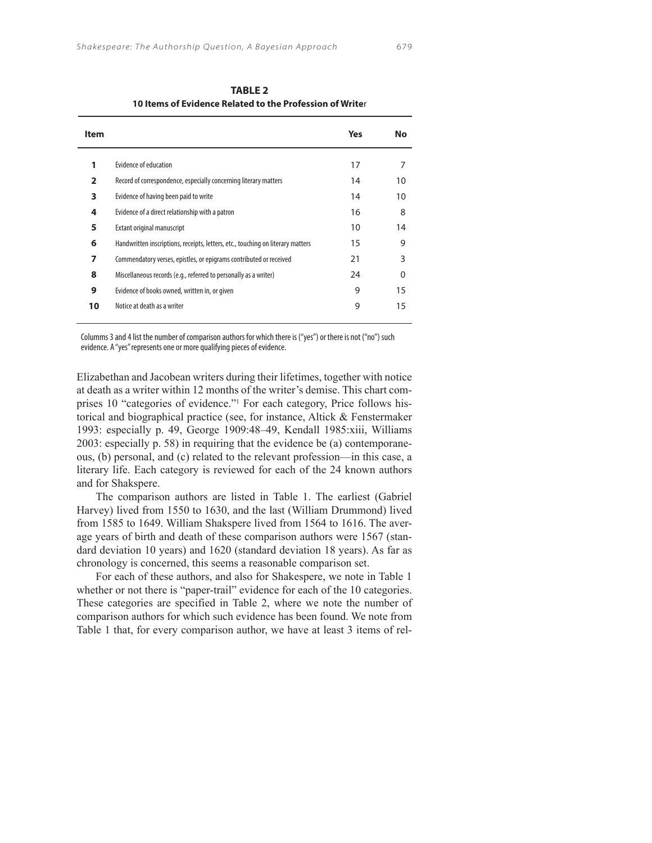| <b>Item</b> |                                                                                 | Yes | No       |
|-------------|---------------------------------------------------------------------------------|-----|----------|
| 1           | Evidence of education                                                           | 17  | 7        |
| 2           | Record of correspondence, especially concerning literary matters                | 14  | 10       |
| 3           | Evidence of having been paid to write                                           | 14  | 10       |
| 4           | Evidence of a direct relationship with a patron                                 | 16  | 8        |
| 5           | <b>Extant original manuscript</b>                                               | 10  | 14       |
| 6           | Handwritten inscriptions, receipts, letters, etc., touching on literary matters | 15  | 9        |
| 7           | Commendatory verses, epistles, or epigrams contributed or received              | 21  | 3        |
| 8           | Miscellaneous records (e.g., referred to personally as a writer)                | 24  | $\Omega$ |
| 9           | Evidence of books owned, written in, or given                                   | 9   | 15       |
| 10          | Notice at death as a writer                                                     | 9   | 15       |

 **TABLE 2 10 Items of Evidence Related to the Profession of Write**r

Columms 3 and 4 list the number of comparison authors for which there is ("yes") or there is not ("no") such evidence. A "yes" represents one or more qualifying pieces of evidence.

Elizabethan and Jacobean writers during their lifetimes, together with notice at death as a writer within 12 months of the writer's demise. This chart comprises 10 "categories of evidence." For each category, Price follows historical and biographical practice (see, for instance, Altick & Fenstermaker 1993: especially p. 49, George 1909:48–49, Kendall 1985:xiii, Williams 2003: especially p. 58) in requiring that the evidence be (a) contemporaneous, (b) personal, and (c) related to the relevant profession—in this case, a literary life. Each category is reviewed for each of the 24 known authors and for Shakspere.

The comparison authors are listed in Table 1. The earliest (Gabriel Harvey) lived from 1550 to 1630, and the last (William Drummond) lived from 1585 to 1649. William Shakspere lived from 1564 to 1616. The average years of birth and death of these comparison authors were 1567 (standard deviation 10 years) and 1620 (standard deviation 18 years). As far as chronology is concerned, this seems a reasonable comparison set.

For each of these authors, and also for Shakespere, we note in Table 1 whether or not there is "paper-trail" evidence for each of the 10 categories. These categories are specified in Table 2, where we note the number of comparison authors for which such evidence has been found. We note from Table 1 that, for every comparison author, we have at least 3 items of rel-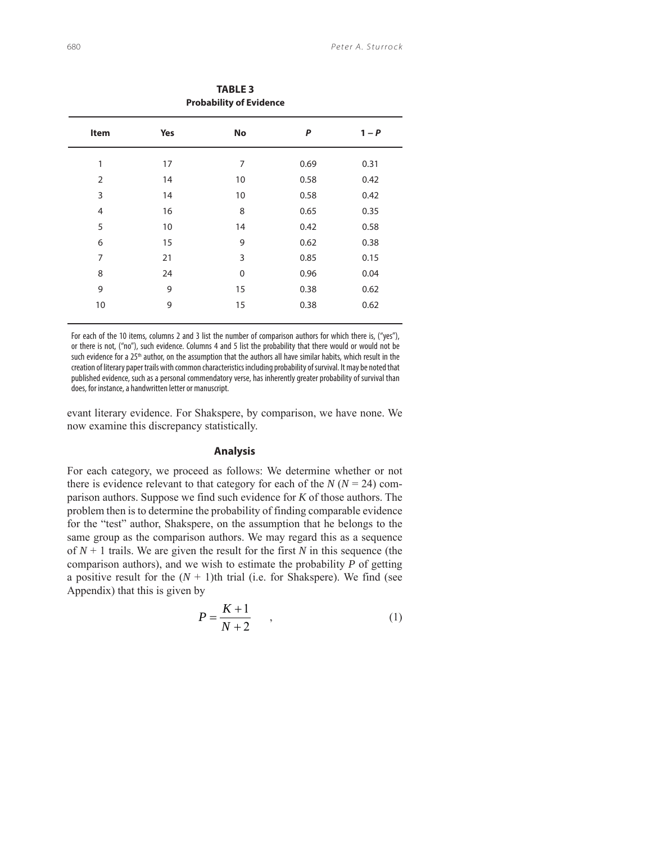| <b>FIUDADING</b> OF EVIDENCE |     |             |      |       |  |  |  |  |
|------------------------------|-----|-------------|------|-------|--|--|--|--|
| Item                         | Yes | No          | P    | $1-P$ |  |  |  |  |
| 1                            | 17  | 7           | 0.69 | 0.31  |  |  |  |  |
| $\overline{2}$               | 14  | 10          | 0.58 | 0.42  |  |  |  |  |
| 3                            | 14  | 10          | 0.58 | 0.42  |  |  |  |  |
| 4                            | 16  | 8           | 0.65 | 0.35  |  |  |  |  |
| 5                            | 10  | 14          | 0.42 | 0.58  |  |  |  |  |
| 6                            | 15  | 9           | 0.62 | 0.38  |  |  |  |  |
| $\overline{7}$               | 21  | 3           | 0.85 | 0.15  |  |  |  |  |
| 8                            | 24  | $\mathbf 0$ | 0.96 | 0.04  |  |  |  |  |
| 9                            | 9   | 15          | 0.38 | 0.62  |  |  |  |  |
| 10                           | 9   | 15          | 0.38 | 0.62  |  |  |  |  |
|                              |     |             |      |       |  |  |  |  |

For each of the 10 items, columns 2 and 3 list the number of comparison authors for which there is, ("yes"), or there is not, ("no"), such evidence. Columns 4 and 5 list the probability that there would or would not be such evidence for a 25<sup>th</sup> author, on the assumption that the authors all have similar habits, which result in the creation of literary paper trails with common characteristics including probability of survival. It may be noted that published evidence, such as a personal commendatory verse, has inherently greater probability of survival than does, for instance, a handwritten letter or manuscript.

evant literary evidence. For Shakspere, by comparison, we have none. We now examine this discrepancy statistically.

# **Analysis**

For each category, we proceed as follows: We determine whether or not there is evidence relevant to that category for each of the  $N (N = 24)$  comparison authors. Suppose we find such evidence for *K* of those authors. The problem then is to determine the probability of finding comparable evidence for the "test" author, Shakspere, on the assumption that he belongs to the same group as the comparison authors. We may regard this as a sequence of  $N + 1$  trails. We are given the result for the first N in this sequence (the comparison authors), and we wish to estimate the probability *P* of getting a positive result for the  $(N + 1)$ th trial (i.e. for Shakspere). We find (see Appendix) that this is given by

$$
P = \frac{K+1}{N+2} \tag{1}
$$

**TABLE 3 Probability of Evidence**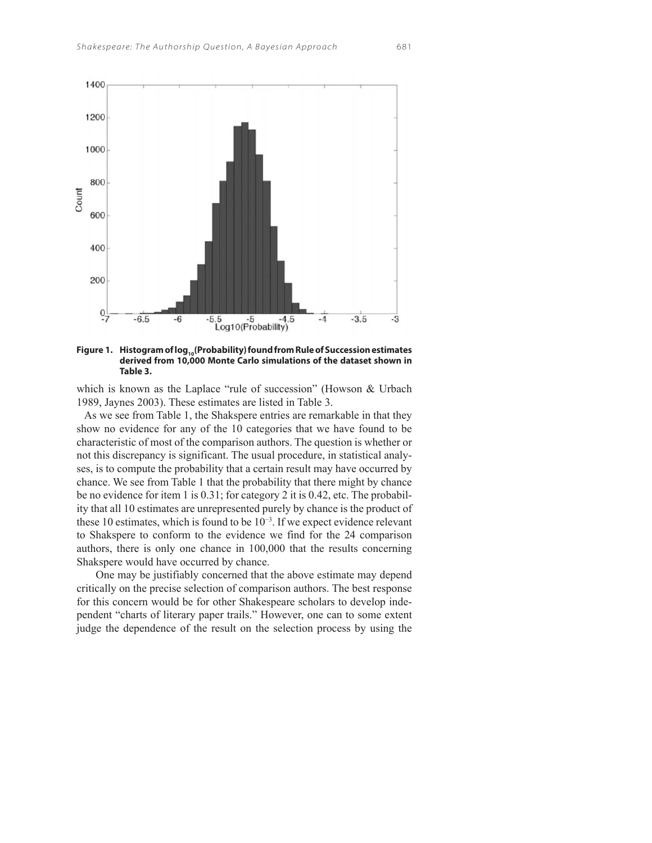Count





**derived from 10,000 Monte Carlo simulations of the dataset shown in Table 3.** 

which is known as the Laplace "rule of succession" (Howson & Urbach 1989, Jaynes 2003). These estimates are listed in Table 3.

 As we see from Table 1, the Shakspere entries are remarkable in that they show no evidence for any of the 10 categories that we have found to be characteristic of most of the comparison authors. The question is whether or not this discrepancy is significant. The usual procedure, in statistical analyses, is to compute the probability that a certain result may have occurred by chance. We see from Table 1 that the probability that there might by chance be no evidence for item 1 is 0.31; for category 2 it is 0.42, etc. The probability that all 10 estimates are unrepresented purely by chance is the product of these 10 estimates, which is found to be  $10^{-3}$ . If we expect evidence relevant to Shakspere to conform to the evidence we find for the 24 comparison authors, there is only one chance in 100,000 that the results concerning Shakspere would have occurred by chance.

One may be justifiably concerned that the above estimate may depend critically on the precise selection of comparison authors. The best response for this concern would be for other Shakespeare scholars to develop independent "charts of literary paper trails." However, one can to some extent judge the dependence of the result on the selection process by using the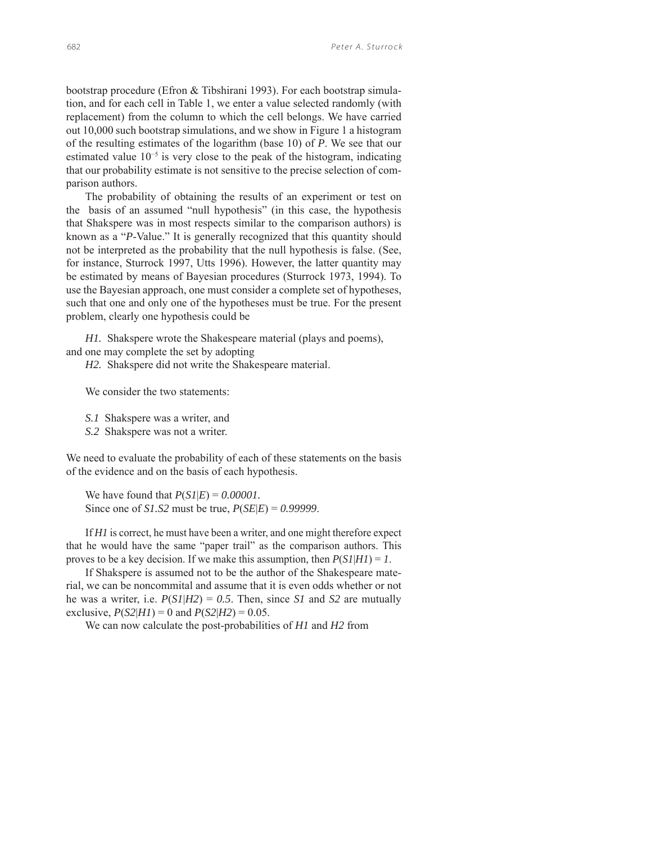bootstrap procedure (Efron & Tibshirani 1993). For each bootstrap simulation, and for each cell in Table 1, we enter a value selected randomly (with replacement) from the column to which the cell belongs. We have carried out 10,000 such bootstrap simulations, and we show in Figure 1 a histogram of the resulting estimates of the logarithm (base 10) of *P*. We see that our estimated value 10<sup>-5</sup> is very close to the peak of the histogram, indicating that our probability estimate is not sensitive to the precise selection of comparison authors.

The probability of obtaining the results of an experiment or test on the basis of an assumed "null hypothesis" (in this case, the hypothesis that Shakspere was in most respects similar to the comparison authors) is known as a "*P*-Value." It is generally recognized that this quantity should not be interpreted as the probability that the null hypothesis is false. (See, for instance, Sturrock 1997, Utts 1996). However, the latter quantity may be estimated by means of Bayesian procedures (Sturrock 1973, 1994). To use the Bayesian approach, one must consider a complete set of hypotheses, such that one and only one of the hypotheses must be true. For the present problem, clearly one hypothesis could be

*H1.* Shakspere wrote the Shakespeare material (plays and poems), and one may complete the set by adopting

*H2.* Shakspere did not write the Shakespeare material.

We consider the two statements:

*S.1* Shakspere was a writer, and

*S.2* Shakspere was not a writer.

We need to evaluate the probability of each of these statements on the basis of the evidence and on the basis of each hypothesis.

We have found that *P*(*S1*|*E*) = *0.00001.* Since one of *S1.S2* must be true, *P*(*SE*|*E*) = *0.99999*.

If *H1* is correct, he must have been a writer, and one might therefore expect that he would have the same "paper trail" as the comparison authors. This proves to be a key decision. If we make this assumption, then  $P(SI|H1) = 1$ .

If Shakspere is assumed not to be the author of the Shakespeare material, we can be noncommital and assume that it is even odds whether or not he was a writer, i.e.  $P(SI|H2) = 0.5$ . Then, since *S1* and *S2* are mutually exclusive,  $P(S2|H1) = 0$  and  $P(S2|H2) = 0.05$ .

We can now calculate the post-probabilities of *H1* and *H2* from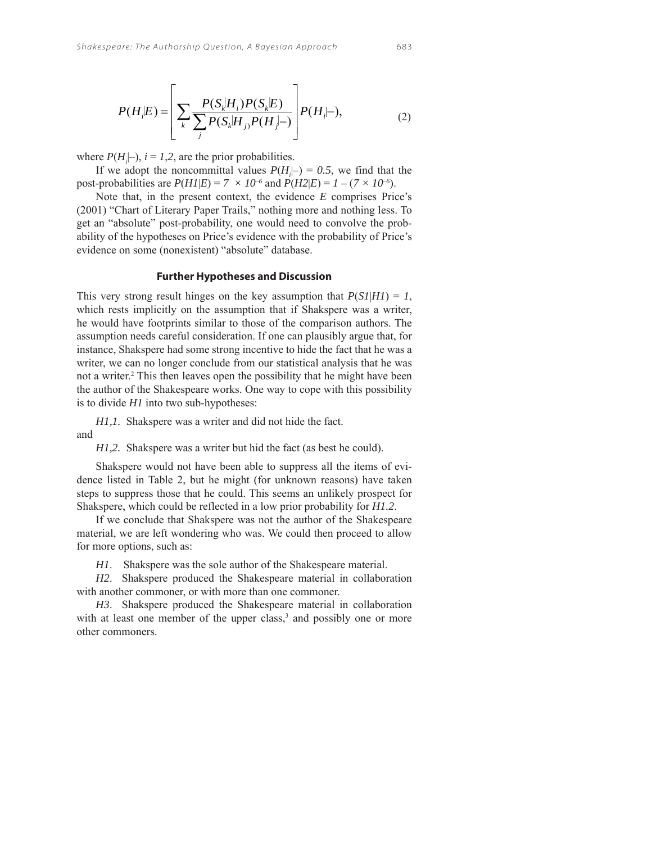$$
P(H_i|E) = \left[ \sum_k \frac{P(S_k|H_i)P(S_k|E)}{\sum_j P(S_k|H_j)P(H_j|-)} \right] P(H_i|-), \tag{2}
$$

where  $P(H_i|-), i = 1,2$ , are the prior probabilities.

If we adopt the noncommittal values  $P(H_i|-\) = 0.5$ , we find that the post-probabilities are  $P(HI|E) = 7 \times 10^{-6}$  and  $P(H2|E) = 1 - (7 \times 10^{-6})$ .

Note that, in the present context, the evidence *E* comprises Price's (2001) "Chart of Literary Paper Trails," nothing more and nothing less. To get an "absolute" post-probability, one would need to convolve the probability of the hypotheses on Price's evidence with the probability of Price's evidence on some (nonexistent) "absolute" database.

## **Further Hypotheses and Discussion**

This very strong result hinges on the key assumption that  $P(SI|H1) = 1$ , which rests implicitly on the assumption that if Shakspere was a writer, he would have footprints similar to those of the comparison authors. The assumption needs careful consideration. If one can plausibly argue that, for instance, Shakspere had some strong incentive to hide the fact that he was a writer, we can no longer conclude from our statistical analysis that he was not a writer.<sup>2</sup> This then leaves open the possibility that he might have been the author of the Shakespeare works. One way to cope with this possibility is to divide *H1* into two sub-hypotheses:

*H1,1.* Shakspere was a writer and did not hide the fact.

and

*H1,2.* Shakspere was a writer but hid the fact (as best he could).

Shakspere would not have been able to suppress all the items of evidence listed in Table 2, but he might (for unknown reasons) have taken steps to suppress those that he could. This seems an unlikely prospect for Shakspere, which could be reflected in a low prior probability for *H1.2*.

If we conclude that Shakspere was not the author of the Shakespeare material, we are left wondering who was. We could then proceed to allow for more options, such as:

*H1*. Shakspere was the sole author of the Shakespeare material.

*H2*. Shakspere produced the Shakespeare material in collaboration with another commoner, or with more than one commoner.

*H3*. Shakspere produced the Shakespeare material in collaboration with at least one member of the upper class, $3$  and possibly one or more other commoners.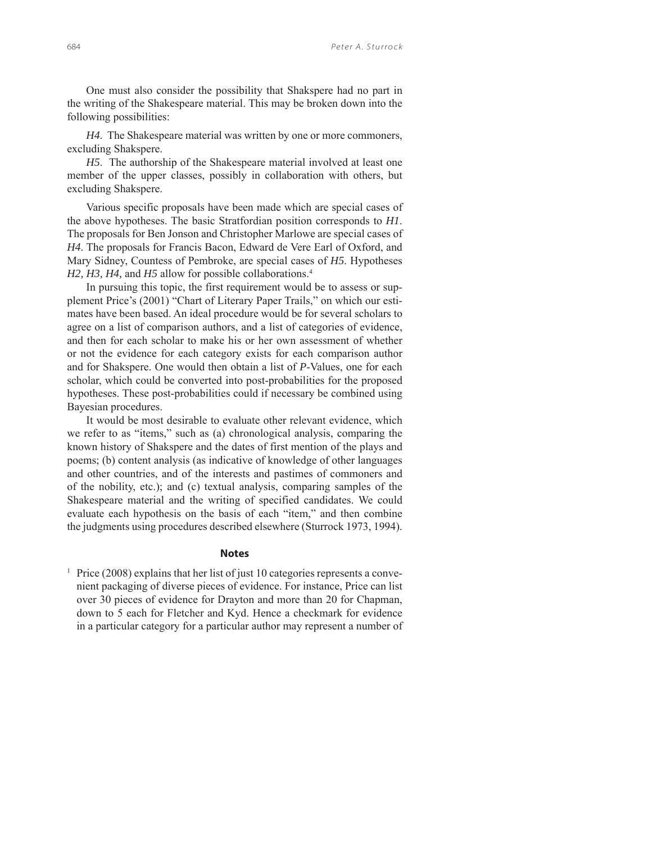One must also consider the possibility that Shakspere had no part in the writing of the Shakespeare material. This may be broken down into the following possibilities:

*H4*. The Shakespeare material was written by one or more commoners, excluding Shakspere.

*H5*. The authorship of the Shakespeare material involved at least one member of the upper classes, possibly in collaboration with others, but excluding Shakspere.

Various specific proposals have been made which are special cases of the above hypotheses. The basic Stratfordian position corresponds to *H1*. The proposals for Ben Jonson and Christopher Marlowe are special cases of *H4*. The proposals for Francis Bacon, Edward de Vere Earl of Oxford, and Mary Sidney, Countess of Pembroke, are special cases of *H5*. Hypotheses *H2, H3, H4, and H5 allow for possible collaborations.<sup>4</sup>* 

In pursuing this topic, the first requirement would be to assess or supplement Price's (2001) "Chart of Literary Paper Trails," on which our estimates have been based. An ideal procedure would be for several scholars to agree on a list of comparison authors, and a list of categories of evidence, and then for each scholar to make his or her own assessment of whether or not the evidence for each category exists for each comparison author and for Shakspere. One would then obtain a list of *P*-Values, one for each scholar, which could be converted into post-probabilities for the proposed hypotheses. These post-probabilities could if necessary be combined using Bayesian procedures.

It would be most desirable to evaluate other relevant evidence, which we refer to as "items," such as (a) chronological analysis, comparing the known history of Shakspere and the dates of first mention of the plays and poems; (b) content analysis (as indicative of knowledge of other languages and other countries, and of the interests and pastimes of commoners and of the nobility, etc.); and (c) textual analysis, comparing samples of the Shakespeare material and the writing of specified candidates. We could evaluate each hypothesis on the basis of each "item," and then combine the judgments using procedures described elsewhere (Sturrock 1973, 1994).

#### **Notes**

<sup>1</sup> Price (2008) explains that her list of just 10 categories represents a convenient packaging of diverse pieces of evidence. For instance, Price can list over 30 pieces of evidence for Drayton and more than 20 for Chapman, down to 5 each for Fletcher and Kyd. Hence a checkmark for evidence in a particular category for a particular author may represent a number of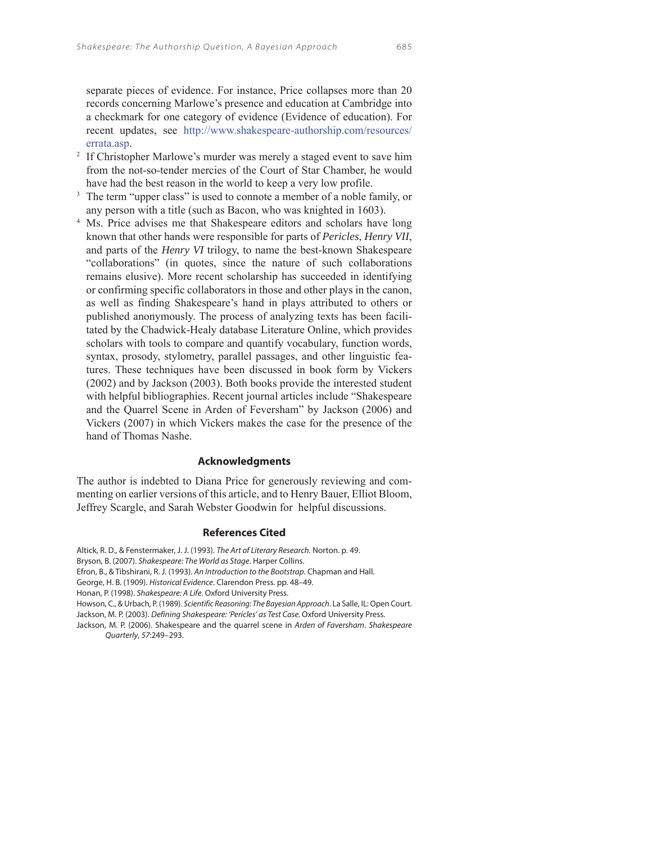separate pieces of evidence. For instance, Price collapses more than 20 records concerning Marlowe's presence and education at Cambridge into a checkmark for one category of evidence (Evidence of education). For recent updates, see http://www.shakespeare-authorship.com/resources/ errata.asp.

- <sup>2</sup> If Christopher Marlowe's murder was merely a staged event to save him from the not-so-tender mercies of the Court of Star Chamber, he would have had the best reason in the world to keep a very low profile.
- <sup>3</sup> The term "upper class" is used to connote a member of a noble family, or any person with a title (such as Bacon, who was knighted in 1603).
- <sup>4</sup> Ms. Price advises me that Shakespeare editors and scholars have long known that other hands were responsible for parts of *Pericles*, *Henry VII*, and parts of the *Henry VI* trilogy, to name the best-known Shakespeare "collaborations" (in quotes, since the nature of such collaborations remains elusive). More recent scholarship has succeeded in identifying or confirming specific collaborators in those and other plays in the canon, as well as finding Shakespeare's hand in plays attributed to others or published anonymously. The process of analyzing texts has been facilitated by the Chadwick-Healy database Literature Online, which provides scholars with tools to compare and quantify vocabulary, function words, syntax, prosody, stylometry, parallel passages, and other linguistic features. These techniques have been discussed in book form by Vickers (2002) and by Jackson (2003). Both books provide the interested student with helpful bibliographies. Recent journal articles include "Shakespeare and the Quarrel Scene in Arden of Feversham" by Jackson (2006) and Vickers (2007) in which Vickers makes the case for the presence of the hand of Thomas Nashe.

## **Acknowledgments**

The author is indebted to Diana Price for generously reviewing and commenting on earlier versions of this article, and to Henry Bauer, Elliot Bloom, Jeffrey Scargle, and Sarah Webster Goodwin for helpful discussions.

#### **References Cited**

Altick, R. D., & Fenstermaker, J. J. (1993). The Art of Literary Research. Norton. p. 49. Bryson, B. (2007). Shakespeare: The World as Stage. Harper Collins. Efron, B., & Tibshirani, R. J. (1993). An Introduction to the Bootstrap. Chapman and Hall. George, H. B. (1909). Historical Evidence. Clarendon Press. pp. 48–49. Honan, P. (1998). Shakespeare: A Life. Oxford University Press. Howson, C., & Urbach, P. (1989). Scientific Reasoning: The Bayesian Approach. La Salle, IL: Open Court. Jackson, M. P. (2003). Defining Shakespeare: 'Pericles' as Test Case. Oxford University Press. Jackson, M. P. (2006). Shakespeare and the quarrel scene in Arden of Faversham. Shakespeare Quarterly, 57:249–293.